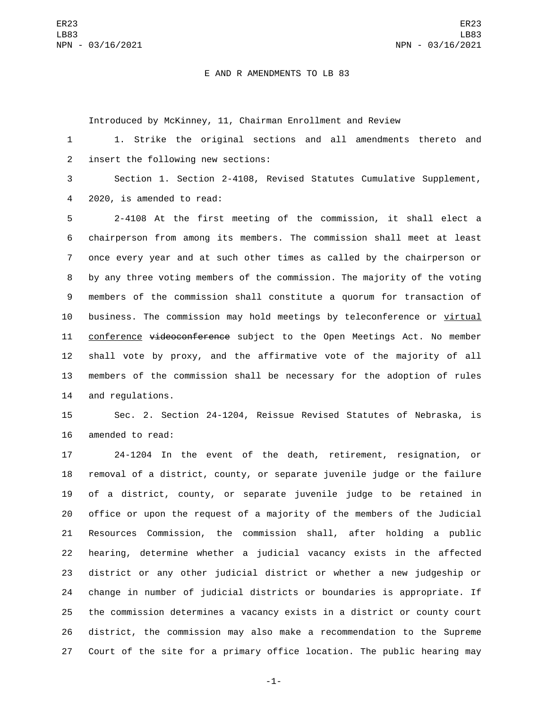## E AND R AMENDMENTS TO LB 83

Introduced by McKinney, 11, Chairman Enrollment and Review

 1. Strike the original sections and all amendments thereto and 2 insert the following new sections:

 Section 1. Section 2-4108, Revised Statutes Cumulative Supplement, 4 2020, is amended to read:

 2-4108 At the first meeting of the commission, it shall elect a chairperson from among its members. The commission shall meet at least once every year and at such other times as called by the chairperson or by any three voting members of the commission. The majority of the voting members of the commission shall constitute a quorum for transaction of business. The commission may hold meetings by teleconference or virtual 11 conference videoconference subject to the Open Meetings Act. No member shall vote by proxy, and the affirmative vote of the majority of all members of the commission shall be necessary for the adoption of rules 14 and requlations.

 Sec. 2. Section 24-1204, Reissue Revised Statutes of Nebraska, is 16 amended to read:

 24-1204 In the event of the death, retirement, resignation, or removal of a district, county, or separate juvenile judge or the failure of a district, county, or separate juvenile judge to be retained in office or upon the request of a majority of the members of the Judicial Resources Commission, the commission shall, after holding a public hearing, determine whether a judicial vacancy exists in the affected district or any other judicial district or whether a new judgeship or change in number of judicial districts or boundaries is appropriate. If the commission determines a vacancy exists in a district or county court district, the commission may also make a recommendation to the Supreme Court of the site for a primary office location. The public hearing may

-1-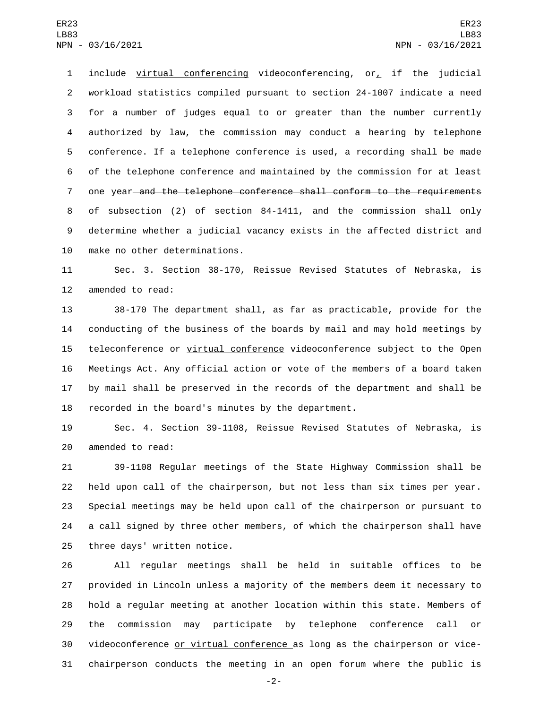include virtual conferencing videoconferencing, or, if the judicial workload statistics compiled pursuant to section 24-1007 indicate a need for a number of judges equal to or greater than the number currently authorized by law, the commission may conduct a hearing by telephone conference. If a telephone conference is used, a recording shall be made of the telephone conference and maintained by the commission for at least 7 one year—and the telephone conference shall conform to the requirements of subsection (2) of section 84-1411, and the commission shall only determine whether a judicial vacancy exists in the affected district and 10 make no other determinations.

 Sec. 3. Section 38-170, Reissue Revised Statutes of Nebraska, is 12 amended to read:

 38-170 The department shall, as far as practicable, provide for the conducting of the business of the boards by mail and may hold meetings by 15 teleconference or virtual conference videoconference subject to the Open Meetings Act. Any official action or vote of the members of a board taken by mail shall be preserved in the records of the department and shall be recorded in the board's minutes by the department.

 Sec. 4. Section 39-1108, Reissue Revised Statutes of Nebraska, is 20 amended to read:

 39-1108 Regular meetings of the State Highway Commission shall be held upon call of the chairperson, but not less than six times per year. Special meetings may be held upon call of the chairperson or pursuant to a call signed by three other members, of which the chairperson shall have 25 three days' written notice.

 All regular meetings shall be held in suitable offices to be provided in Lincoln unless a majority of the members deem it necessary to hold a regular meeting at another location within this state. Members of the commission may participate by telephone conference call or 30 videoconference or virtual conference as long as the chairperson or vice-chairperson conducts the meeting in an open forum where the public is

-2-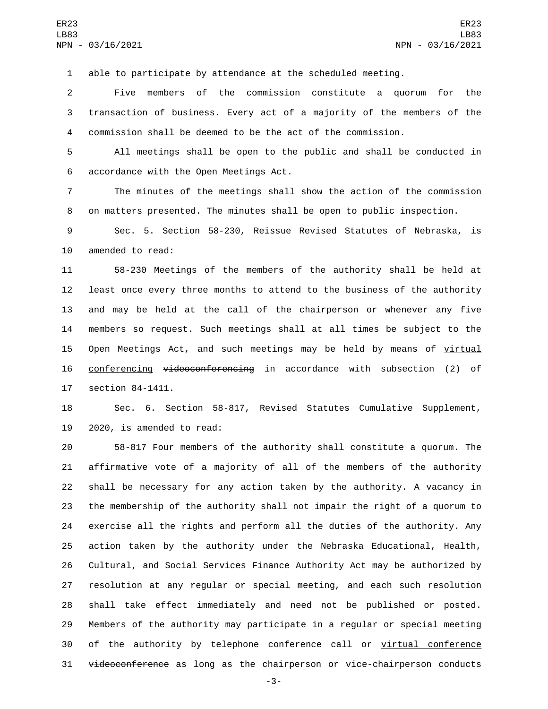able to participate by attendance at the scheduled meeting.

 Five members of the commission constitute a quorum for the transaction of business. Every act of a majority of the members of the commission shall be deemed to be the act of the commission.

 All meetings shall be open to the public and shall be conducted in 6 accordance with the Open Meetings Act.

 The minutes of the meetings shall show the action of the commission on matters presented. The minutes shall be open to public inspection.

 Sec. 5. Section 58-230, Reissue Revised Statutes of Nebraska, is 10 amended to read:

 58-230 Meetings of the members of the authority shall be held at least once every three months to attend to the business of the authority and may be held at the call of the chairperson or whenever any five members so request. Such meetings shall at all times be subject to the 15 Open Meetings Act, and such meetings may be held by means of virtual 16 conferencing videoconferencing in accordance with subsection (2) of 17 section 84-1411.

 Sec. 6. Section 58-817, Revised Statutes Cumulative Supplement, 2020, is amended to read:

 58-817 Four members of the authority shall constitute a quorum. The affirmative vote of a majority of all of the members of the authority shall be necessary for any action taken by the authority. A vacancy in the membership of the authority shall not impair the right of a quorum to exercise all the rights and perform all the duties of the authority. Any action taken by the authority under the Nebraska Educational, Health, Cultural, and Social Services Finance Authority Act may be authorized by resolution at any regular or special meeting, and each such resolution shall take effect immediately and need not be published or posted. Members of the authority may participate in a regular or special meeting 30 of the authority by telephone conference call or virtual conference 31 videoconference as long as the chairperson or vice-chairperson conducts

-3-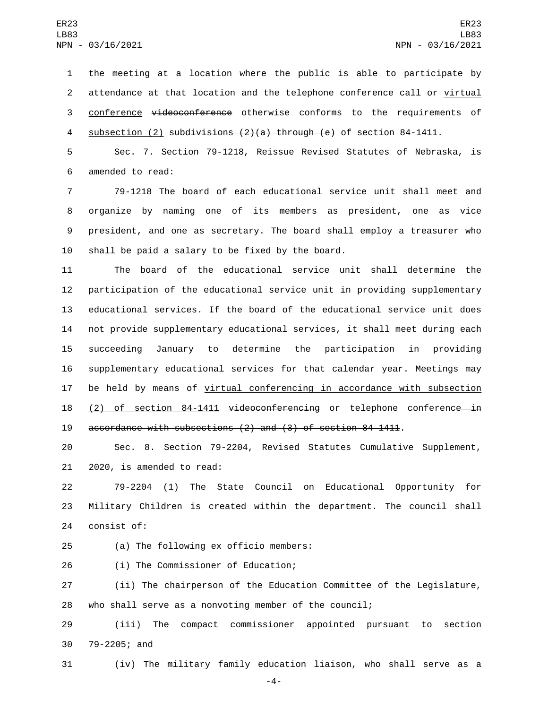the meeting at a location where the public is able to participate by attendance at that location and the telephone conference call or virtual conference videoconference otherwise conforms to the requirements of 4 subsection (2) subdivisions (2)(a) through (e) of section 84-1411.

5 Sec. 7. Section 79-1218, Reissue Revised Statutes of Nebraska, is 6 amended to read:

 79-1218 The board of each educational service unit shall meet and organize by naming one of its members as president, one as vice president, and one as secretary. The board shall employ a treasurer who 10 shall be paid a salary to be fixed by the board.

 The board of the educational service unit shall determine the participation of the educational service unit in providing supplementary educational services. If the board of the educational service unit does not provide supplementary educational services, it shall meet during each succeeding January to determine the participation in providing supplementary educational services for that calendar year. Meetings may 17 be held by means of virtual conferencing in accordance with subsection 18 (2) of section 84-1411 videoconferencing or telephone conference-in accordance with subsections (2) and (3) of section 84-1411.

20 Sec. 8. Section 79-2204, Revised Statutes Cumulative Supplement,  $21$   $2020$ , is amended to read:

22 79-2204 (1) The State Council on Educational Opportunity for 23 Military Children is created within the department. The council shall 24 consist of:

(a) The following ex officio members:25

26 (i) The Commissioner of Education;

27 (ii) The chairperson of the Education Committee of the Legislature, 28 who shall serve as a nonvoting member of the council;

29 (iii) The compact commissioner appointed pursuant to section 30 79-2205; and

31 (iv) The military family education liaison, who shall serve as a

-4-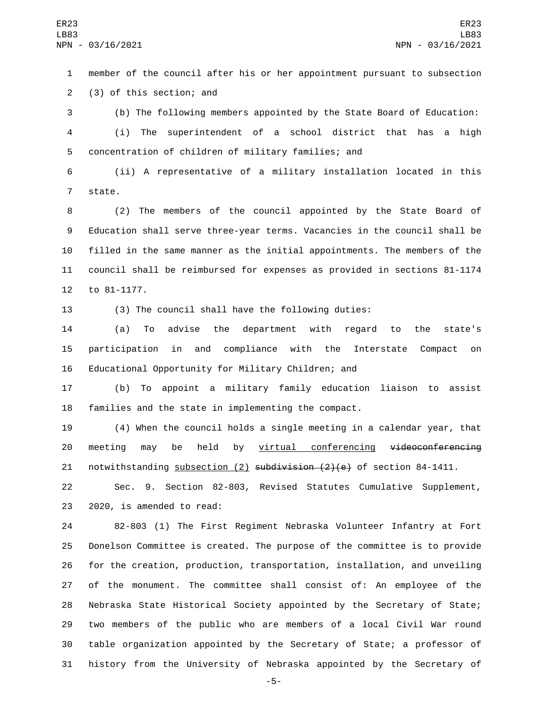member of the council after his or her appointment pursuant to subsection 2 (3) of this section; and

 (b) The following members appointed by the State Board of Education: (i) The superintendent of a school district that has a high concentration of children of military families; and

 (ii) A representative of a military installation located in this 7 state.

 (2) The members of the council appointed by the State Board of Education shall serve three-year terms. Vacancies in the council shall be filled in the same manner as the initial appointments. The members of the council shall be reimbursed for expenses as provided in sections 81-1174 12 to 81-1177.

(3) The council shall have the following duties:

 (a) To advise the department with regard to the state's participation in and compliance with the Interstate Compact on Educational Opportunity for Military Children; and

 (b) To appoint a military family education liaison to assist families and the state in implementing the compact.

 (4) When the council holds a single meeting in a calendar year, that 20 meeting may be held by virtual conferencing videoconferencing 21 notwithstanding subsection  $(2)$  subdivision  $(2)(e)$  of section 84-1411.

 Sec. 9. Section 82-803, Revised Statutes Cumulative Supplement, 23 2020, is amended to read:

 82-803 (1) The First Regiment Nebraska Volunteer Infantry at Fort Donelson Committee is created. The purpose of the committee is to provide for the creation, production, transportation, installation, and unveiling of the monument. The committee shall consist of: An employee of the Nebraska State Historical Society appointed by the Secretary of State; two members of the public who are members of a local Civil War round table organization appointed by the Secretary of State; a professor of history from the University of Nebraska appointed by the Secretary of

-5-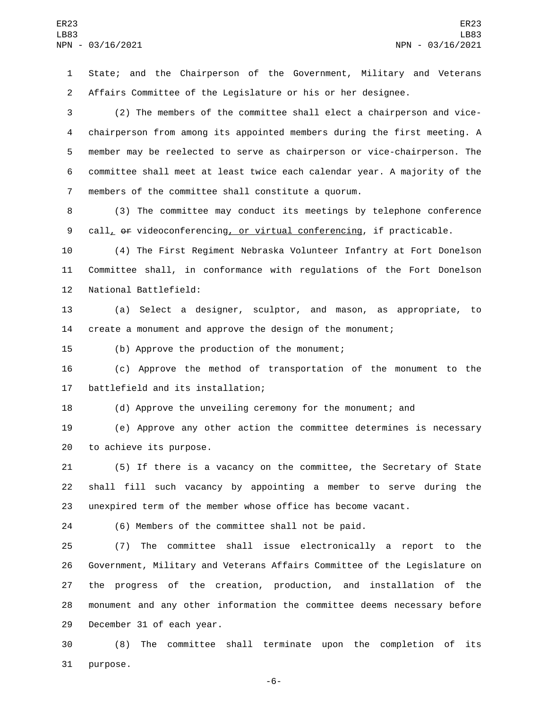State; and the Chairperson of the Government, Military and Veterans Affairs Committee of the Legislature or his or her designee.

 (2) The members of the committee shall elect a chairperson and vice- chairperson from among its appointed members during the first meeting. A member may be reelected to serve as chairperson or vice-chairperson. The committee shall meet at least twice each calendar year. A majority of the members of the committee shall constitute a quorum.

 (3) The committee may conduct its meetings by telephone conference 9 call,  $\theta$  videoconferencing, or virtual conferencing, if practicable.

 (4) The First Regiment Nebraska Volunteer Infantry at Fort Donelson Committee shall, in conformance with regulations of the Fort Donelson 12 National Battlefield:

 (a) Select a designer, sculptor, and mason, as appropriate, to create a monument and approve the design of the monument;

15 (b) Approve the production of the monument;

 (c) Approve the method of transportation of the monument to the 17 battlefield and its installation;

(d) Approve the unveiling ceremony for the monument; and

 (e) Approve any other action the committee determines is necessary 20 to achieve its purpose.

 (5) If there is a vacancy on the committee, the Secretary of State shall fill such vacancy by appointing a member to serve during the unexpired term of the member whose office has become vacant.

(6) Members of the committee shall not be paid.

 (7) The committee shall issue electronically a report to the Government, Military and Veterans Affairs Committee of the Legislature on the progress of the creation, production, and installation of the monument and any other information the committee deems necessary before 29 December 31 of each year.

 (8) The committee shall terminate upon the completion of its 31 purpose.

-6-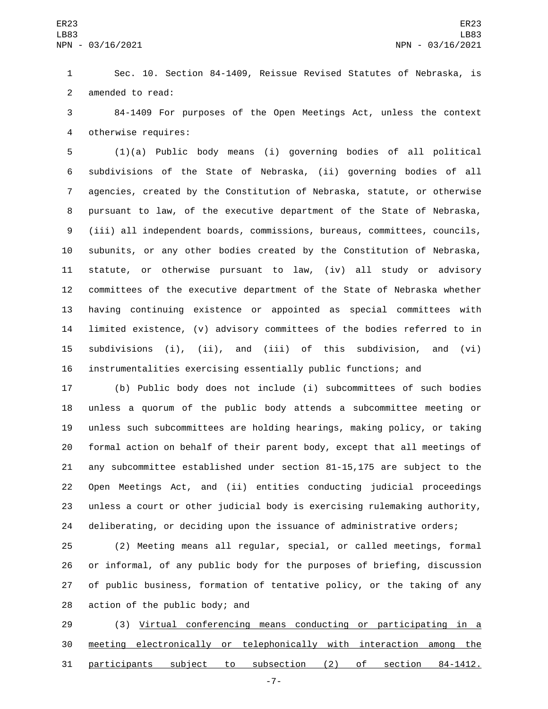Sec. 10. Section 84-1409, Reissue Revised Statutes of Nebraska, is 2 amended to read:

 84-1409 For purposes of the Open Meetings Act, unless the context 4 otherwise requires:

 (1)(a) Public body means (i) governing bodies of all political subdivisions of the State of Nebraska, (ii) governing bodies of all agencies, created by the Constitution of Nebraska, statute, or otherwise pursuant to law, of the executive department of the State of Nebraska, (iii) all independent boards, commissions, bureaus, committees, councils, subunits, or any other bodies created by the Constitution of Nebraska, statute, or otherwise pursuant to law, (iv) all study or advisory committees of the executive department of the State of Nebraska whether having continuing existence or appointed as special committees with limited existence, (v) advisory committees of the bodies referred to in subdivisions (i), (ii), and (iii) of this subdivision, and (vi) instrumentalities exercising essentially public functions; and

 (b) Public body does not include (i) subcommittees of such bodies unless a quorum of the public body attends a subcommittee meeting or unless such subcommittees are holding hearings, making policy, or taking formal action on behalf of their parent body, except that all meetings of any subcommittee established under section 81-15,175 are subject to the Open Meetings Act, and (ii) entities conducting judicial proceedings unless a court or other judicial body is exercising rulemaking authority, deliberating, or deciding upon the issuance of administrative orders;

 (2) Meeting means all regular, special, or called meetings, formal or informal, of any public body for the purposes of briefing, discussion of public business, formation of tentative policy, or the taking of any  $\alpha$  action of the public body; and

 (3) Virtual conferencing means conducting or participating in a meeting electronically or telephonically with interaction among the participants subject to subsection (2) of section 84-1412.

-7-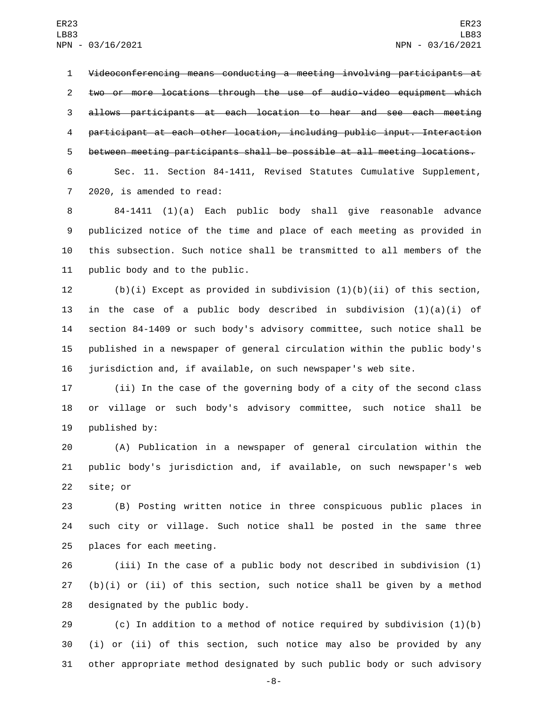Videoconferencing means conducting a meeting involving participants at two or more locations through the use of audio-video equipment which allows participants at each location to hear and see each meeting participant at each other location, including public input. Interaction between meeting participants shall be possible at all meeting locations.

 Sec. 11. Section 84-1411, Revised Statutes Cumulative Supplement, 7 2020, is amended to read:

 84-1411 (1)(a) Each public body shall give reasonable advance publicized notice of the time and place of each meeting as provided in this subsection. Such notice shall be transmitted to all members of the 11 public body and to the public.

 (b)(i) Except as provided in subdivision (1)(b)(ii) of this section, 13 in the case of a public body described in subdivision  $(1)(a)(i)$  of section 84-1409 or such body's advisory committee, such notice shall be published in a newspaper of general circulation within the public body's jurisdiction and, if available, on such newspaper's web site.

 (ii) In the case of the governing body of a city of the second class or village or such body's advisory committee, such notice shall be 19 published by:

 (A) Publication in a newspaper of general circulation within the public body's jurisdiction and, if available, on such newspaper's web 22 site; or

 (B) Posting written notice in three conspicuous public places in such city or village. Such notice shall be posted in the same three 25 places for each meeting.

 (iii) In the case of a public body not described in subdivision (1) (b)(i) or (ii) of this section, such notice shall be given by a method 28 designated by the public body.

 (c) In addition to a method of notice required by subdivision (1)(b) (i) or (ii) of this section, such notice may also be provided by any other appropriate method designated by such public body or such advisory

-8-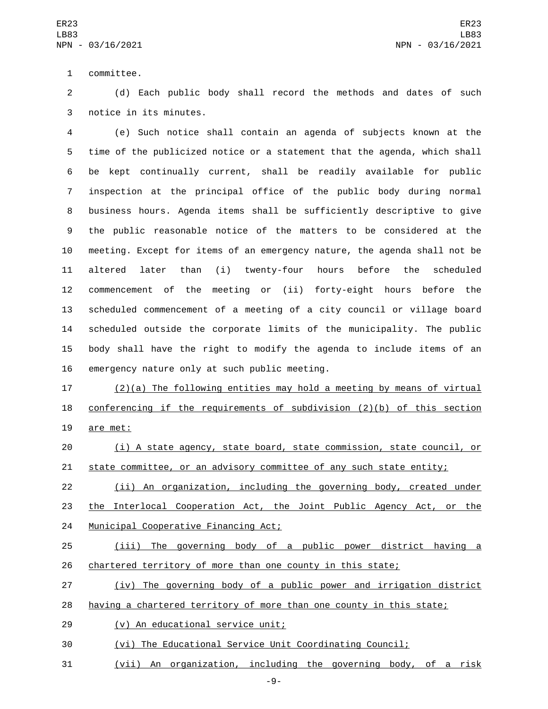1 committee.

 (d) Each public body shall record the methods and dates of such 3 notice in its minutes.

 (e) Such notice shall contain an agenda of subjects known at the time of the publicized notice or a statement that the agenda, which shall be kept continually current, shall be readily available for public inspection at the principal office of the public body during normal business hours. Agenda items shall be sufficiently descriptive to give the public reasonable notice of the matters to be considered at the meeting. Except for items of an emergency nature, the agenda shall not be altered later than (i) twenty-four hours before the scheduled commencement of the meeting or (ii) forty-eight hours before the scheduled commencement of a meeting of a city council or village board scheduled outside the corporate limits of the municipality. The public body shall have the right to modify the agenda to include items of an 16 emergency nature only at such public meeting.

 (2)(a) The following entities may hold a meeting by means of virtual conferencing if the requirements of subdivision (2)(b) of this section 19 are met:

 (i) A state agency, state board, state commission, state council, or 21 state committee, or an advisory committee of any such state entity;

 (ii) An organization, including the governing body, created under the Interlocal Cooperation Act, the Joint Public Agency Act, or the 24 Municipal Cooperative Financing Act;

 (iii) The governing body of a public power district having a 26 chartered territory of more than one county in this state;

(iv) The governing body of a public power and irrigation district

- having a chartered territory of more than one county in this state;
- (v) An educational service unit;29

(vi) The Educational Service Unit Coordinating Council;

(vii) An organization, including the governing body, of a risk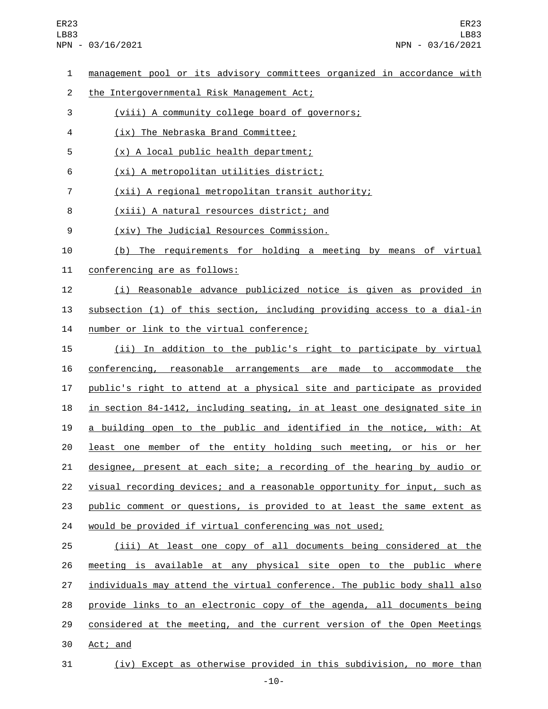- 1 management pool or its advisory committees organized in accordance with 2 the Intergovernmental Risk Management Act; 3 (viii) A community college board of governors; (ix) The Nebraska Brand Committee;4 (x) A local public health department;5 6 (xi) A metropolitan utilities district; 7 (xii) A regional metropolitan transit authority; 8 (xiii) A natural resources district; and (xiv) The Judicial Resources Commission.9 10 (b) The requirements for holding a meeting by means of virtual 11 conferencing are as follows: 12 (i) Reasonable advance publicized notice is given as provided in 13 subsection (1) of this section, including providing access to a dial-in 14 number or link to the virtual conference; 15 (ii) In addition to the public's right to participate by virtual 16 conferencing, reasonable arrangements are made to accommodate the 17 public's right to attend at a physical site and participate as provided 18 in section 84-1412, including seating, in at least one designated site in 19 a building open to the public and identified in the notice, with: At 20 least one member of the entity holding such meeting, or his or her 21 designee, present at each site; a recording of the hearing by audio or 22 visual recording devices; and a reasonable opportunity for input, such as 23 public comment or questions, is provided to at least the same extent as 24 would be provided if virtual conferencing was not used; 25 (iii) At least one copy of all documents being considered at the 26 meeting is available at any physical site open to the public where 27 individuals may attend the virtual conference. The public body shall also 28 provide links to an electronic copy of the agenda, all documents being 29 considered at the meeting, and the current version of the Open Meetings 30 Act; and
- 31 (iv) Except as otherwise provided in this subdivision, no more than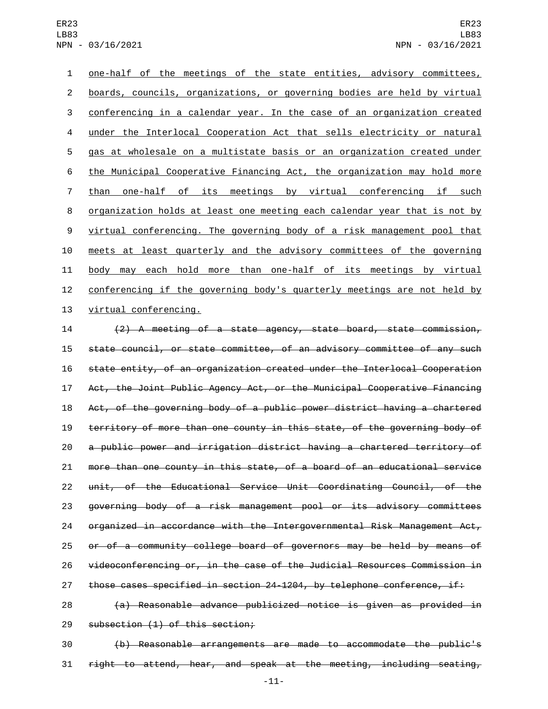one-half of the meetings of the state entities, advisory committees, boards, councils, organizations, or governing bodies are held by virtual conferencing in a calendar year. In the case of an organization created under the Interlocal Cooperation Act that sells electricity or natural gas at wholesale on a multistate basis or an organization created under the Municipal Cooperative Financing Act, the organization may hold more than one-half of its meetings by virtual conferencing if such organization holds at least one meeting each calendar year that is not by virtual conferencing. The governing body of a risk management pool that meets at least quarterly and the advisory committees of the governing body may each hold more than one-half of its meetings by virtual conferencing if the governing body's quarterly meetings are not held by 13 virtual conferencing.

 (2) A meeting of a state agency, state board, state commission, state council, or state committee, of an advisory committee of any such state entity, of an organization created under the Interlocal Cooperation Act, the Joint Public Agency Act, or the Municipal Cooperative Financing Act, of the governing body of a public power district having a chartered territory of more than one county in this state, of the governing body of a public power and irrigation district having a chartered territory of more than one county in this state, of a board of an educational service unit, of the Educational Service Unit Coordinating Council, of the governing body of a risk management pool or its advisory committees 24 organized in accordance with the Intergovernmental Risk Management Act, or of a community college board of governors may be held by means of videoconferencing or, in the case of the Judicial Resources Commission in those cases specified in section 24-1204, by telephone conference, if:

 (a) Reasonable advance publicized notice is given as provided in 29 subsection (1) of this section;

 (b) Reasonable arrangements are made to accommodate the public's right to attend, hear, and speak at the meeting, including seating,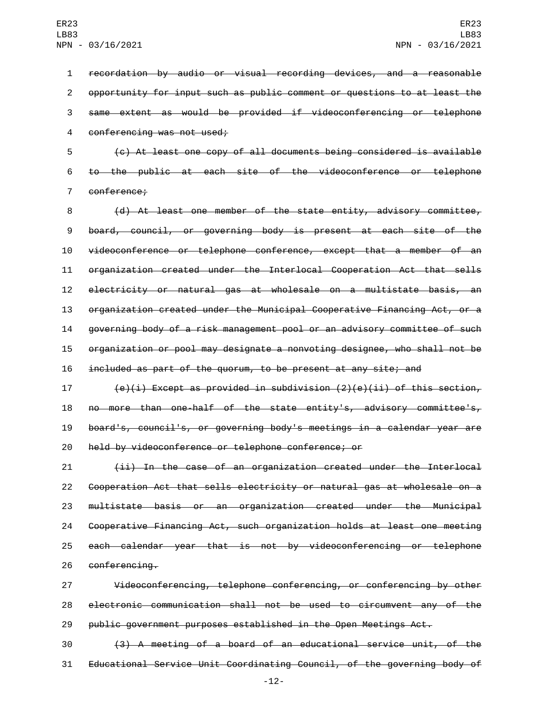recordation by audio or visual recording devices, and a reasonable opportunity for input such as public comment or questions to at least the same extent as would be provided if videoconferencing or telephone 4 conferencing was not used;

 (c) At least one copy of all documents being considered is available to the public at each site of the videoconference or telephone 7 conference;

 (d) At least one member of the state entity, advisory committee, board, council, or governing body is present at each site of the videoconference or telephone conference, except that a member of an organization created under the Interlocal Cooperation Act that sells electricity or natural gas at wholesale on a multistate basis, an organization created under the Municipal Cooperative Financing Act, or a governing body of a risk management pool or an advisory committee of such organization or pool may designate a nonvoting designee, who shall not be included as part of the quorum, to be present at any site; and

 $(e)(i)$  Except as provided in subdivision  $(2)(e)(ii)$  of this section, no more than one-half of the state entity's, advisory committee's, board's, council's, or governing body's meetings in a calendar year are held by videoconference or telephone conference; or

 (ii) In the case of an organization created under the Interlocal Cooperation Act that sells electricity or natural gas at wholesale on a multistate basis or an organization created under the Municipal Cooperative Financing Act, such organization holds at least one meeting each calendar year that is not by videoconferencing or telephone 26 conferencing.

 Videoconferencing, telephone conferencing, or conferencing by other electronic communication shall not be used to circumvent any of the public government purposes established in the Open Meetings Act.

 (3) A meeting of a board of an educational service unit, of the Educational Service Unit Coordinating Council, of the governing body of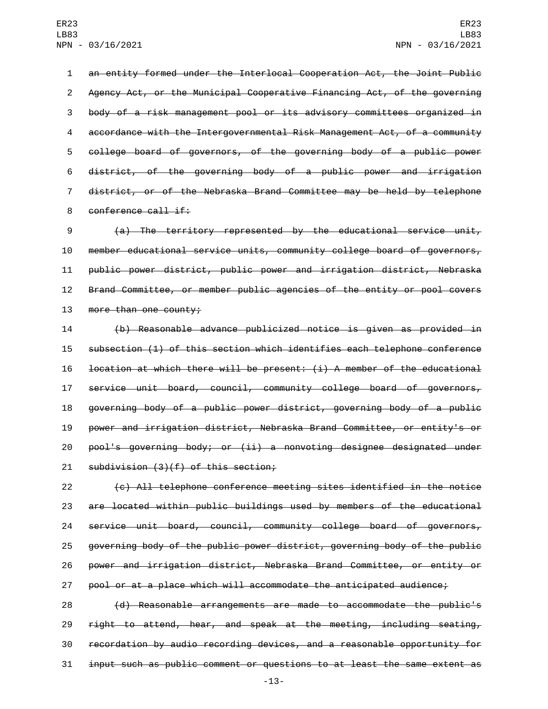an entity formed under the Interlocal Cooperation Act, the Joint Public Agency Act, or the Municipal Cooperative Financing Act, of the governing body of a risk management pool or its advisory committees organized in accordance with the Intergovernmental Risk Management Act, of a community college board of governors, of the governing body of a public power district, of the governing body of a public power and irrigation district, or of the Nebraska Brand Committee may be held by telephone 8 conference call if:

 (a) The territory represented by the educational service unit, member educational service units, community college board of governors, public power district, public power and irrigation district, Nebraska Brand Committee, or member public agencies of the entity or pool covers 13 more than one county;

 (b) Reasonable advance publicized notice is given as provided in subsection (1) of this section which identifies each telephone conference location at which there will be present: (i) A member of the educational service unit board, council, community college board of governors, governing body of a public power district, governing body of a public power and irrigation district, Nebraska Brand Committee, or entity's or pool's governing body; or (ii) a nonvoting designee designated under 21 subdivision  $(3)(f)$  of this section;

 (c) All telephone conference meeting sites identified in the notice are located within public buildings used by members of the educational service unit board, council, community college board of governors, governing body of the public power district, governing body of the public power and irrigation district, Nebraska Brand Committee, or entity or pool or at a place which will accommodate the anticipated audience;

 (d) Reasonable arrangements are made to accommodate the public's right to attend, hear, and speak at the meeting, including seating, recordation by audio recording devices, and a reasonable opportunity for input such as public comment or questions to at least the same extent as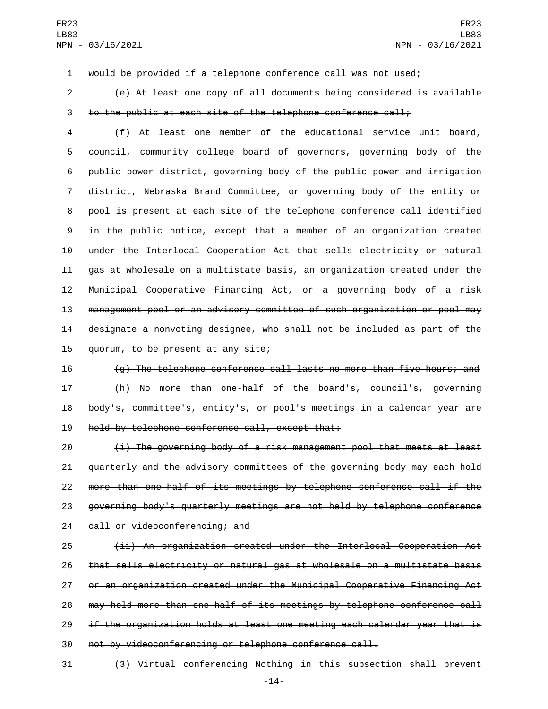would be provided if a telephone conference call was not used;

 (e) At least one copy of all documents being considered is available to the public at each site of the telephone conference call;

 (f) At least one member of the educational service unit board, council, community college board of governors, governing body of the public power district, governing body of the public power and irrigation district, Nebraska Brand Committee, or governing body of the entity or pool is present at each site of the telephone conference call identified in the public notice, except that a member of an organization created under the Interlocal Cooperation Act that sells electricity or natural gas at wholesale on a multistate basis, an organization created under the Municipal Cooperative Financing Act, or a governing body of a risk management pool or an advisory committee of such organization or pool may designate a nonvoting designee, who shall not be included as part of the  $quorum, to be present at any site;$ 

 (g) The telephone conference call lasts no more than five hours; and (h) No more than one-half of the board's, council's, governing body's, committee's, entity's, or pool's meetings in a calendar year are 19 held by telephone conference call, except that:

 (i) The governing body of a risk management pool that meets at least quarterly and the advisory committees of the governing body may each hold more than one-half of its meetings by telephone conference call if the governing body's quarterly meetings are not held by telephone conference 24 call or videoconferencing; and

 (ii) An organization created under the Interlocal Cooperation Act that sells electricity or natural gas at wholesale on a multistate basis or an organization created under the Municipal Cooperative Financing Act may hold more than one-half of its meetings by telephone conference call if the organization holds at least one meeting each calendar year that is not by videoconferencing or telephone conference call.

(3) Virtual conferencing Nothing in this subsection shall prevent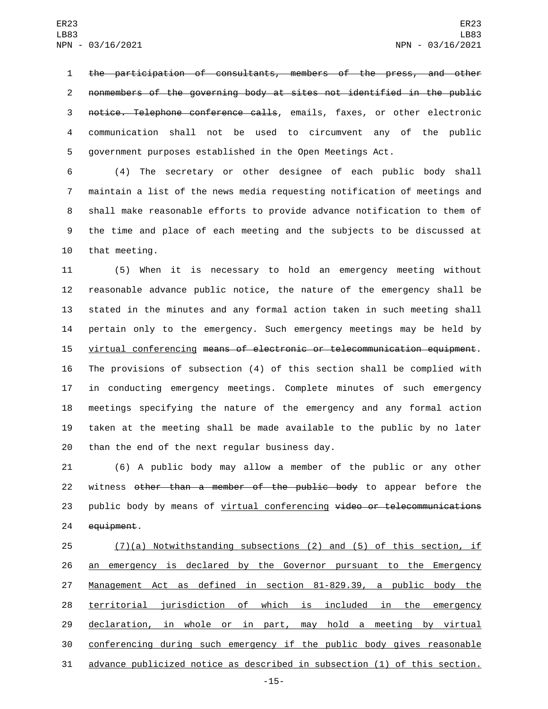the participation of consultants, members of the press, and other nonmembers of the governing body at sites not identified in the public notice. Telephone conference calls, emails, faxes, or other electronic communication shall not be used to circumvent any of the public government purposes established in the Open Meetings Act.

 (4) The secretary or other designee of each public body shall maintain a list of the news media requesting notification of meetings and shall make reasonable efforts to provide advance notification to them of the time and place of each meeting and the subjects to be discussed at 10 that meeting.

 (5) When it is necessary to hold an emergency meeting without reasonable advance public notice, the nature of the emergency shall be stated in the minutes and any formal action taken in such meeting shall pertain only to the emergency. Such emergency meetings may be held by virtual conferencing means of electronic or telecommunication equipment. The provisions of subsection (4) of this section shall be complied with in conducting emergency meetings. Complete minutes of such emergency meetings specifying the nature of the emergency and any formal action taken at the meeting shall be made available to the public by no later than the end of the next regular business day.

 (6) A public body may allow a member of the public or any other 22 witness other than a member of the public body to appear before the 23 public body by means of virtual conferencing video or telecommunications 24 equipment.

 (7)(a) Notwithstanding subsections (2) and (5) of this section, if 26 an emergency is declared by the Governor pursuant to the Emergency Management Act as defined in section 81-829.39, a public body the territorial jurisdiction of which is included in the emergency 29 declaration, in whole or in part, may hold a meeting by virtual conferencing during such emergency if the public body gives reasonable advance publicized notice as described in subsection (1) of this section.

-15-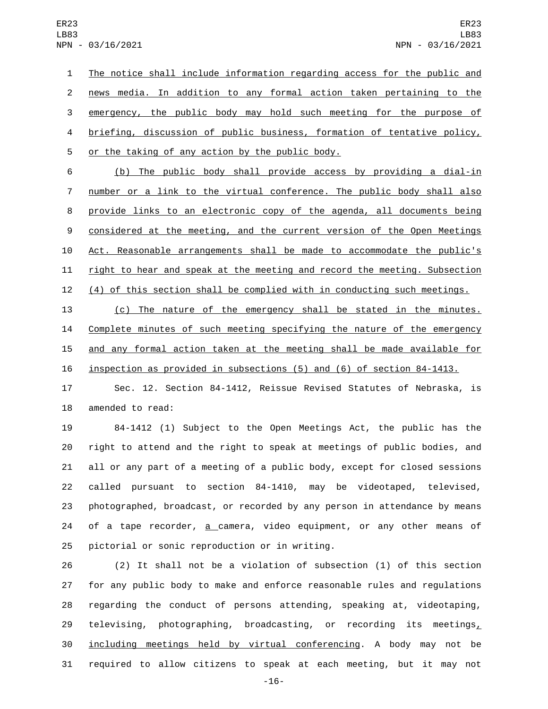The notice shall include information regarding access for the public and news media. In addition to any formal action taken pertaining to the emergency, the public body may hold such meeting for the purpose of briefing, discussion of public business, formation of tentative policy, 5 or the taking of any action by the public body.

 (b) The public body shall provide access by providing a dial-in number or a link to the virtual conference. The public body shall also provide links to an electronic copy of the agenda, all documents being 9 considered at the meeting, and the current version of the Open Meetings Act. Reasonable arrangements shall be made to accommodate the public's right to hear and speak at the meeting and record the meeting. Subsection (4) of this section shall be complied with in conducting such meetings.

 (c) The nature of the emergency shall be stated in the minutes. Complete minutes of such meeting specifying the nature of the emergency and any formal action taken at the meeting shall be made available for inspection as provided in subsections (5) and (6) of section 84-1413.

 Sec. 12. Section 84-1412, Reissue Revised Statutes of Nebraska, is 18 amended to read:

 84-1412 (1) Subject to the Open Meetings Act, the public has the right to attend and the right to speak at meetings of public bodies, and all or any part of a meeting of a public body, except for closed sessions called pursuant to section 84-1410, may be videotaped, televised, photographed, broadcast, or recorded by any person in attendance by means 24 of a tape recorder, <u>a c</u>amera, video equipment, or any other means of 25 pictorial or sonic reproduction or in writing.

 (2) It shall not be a violation of subsection (1) of this section for any public body to make and enforce reasonable rules and regulations regarding the conduct of persons attending, speaking at, videotaping, 29 televising, photographing, broadcasting, or recording its meetings $<sub>L</sub>$ </sub> including meetings held by virtual conferencing. A body may not be required to allow citizens to speak at each meeting, but it may not

-16-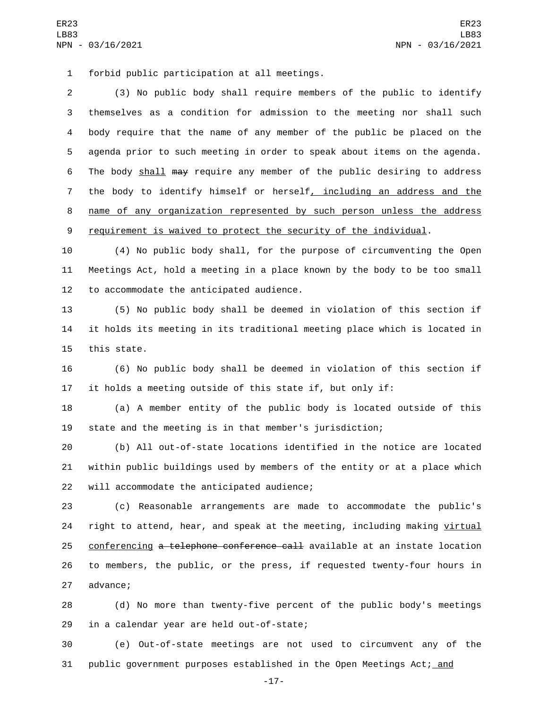forbid public participation at all meetings.1

 (3) No public body shall require members of the public to identify themselves as a condition for admission to the meeting nor shall such body require that the name of any member of the public be placed on the agenda prior to such meeting in order to speak about items on the agenda. The body shall may require any member of the public desiring to address the body to identify himself or herself, including an address and the name of any organization represented by such person unless the address 9 requirement is waived to protect the security of the individual.

10 (4) No public body shall, for the purpose of circumventing the Open 11 Meetings Act, hold a meeting in a place known by the body to be too small 12 to accommodate the anticipated audience.

13 (5) No public body shall be deemed in violation of this section if 14 it holds its meeting in its traditional meeting place which is located in 15 this state.

16 (6) No public body shall be deemed in violation of this section if 17 it holds a meeting outside of this state if, but only if:

18 (a) A member entity of the public body is located outside of this 19 state and the meeting is in that member's jurisdiction;

20 (b) All out-of-state locations identified in the notice are located 21 within public buildings used by members of the entity or at a place which 22 will accommodate the anticipated audience;

23 (c) Reasonable arrangements are made to accommodate the public's 24 right to attend, hear, and speak at the meeting, including making virtual 25 conferencing a telephone conference call available at an instate location 26 to members, the public, or the press, if requested twenty-four hours in 27 advance;

28 (d) No more than twenty-five percent of the public body's meetings 29 in a calendar year are held out-of-state;

30 (e) Out-of-state meetings are not used to circumvent any of the 31 public government purposes established in the Open Meetings Act; and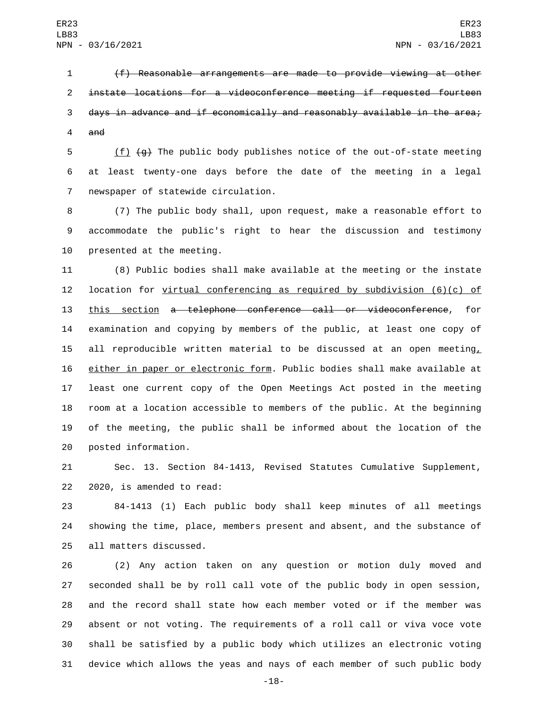(f) Reasonable arrangements are made to provide viewing at other instate locations for a videoconference meeting if requested fourteen days in advance and if economically and reasonably available in the area; and

 (f) (g) The public body publishes notice of the out-of-state meeting at least twenty-one days before the date of the meeting in a legal 7 newspaper of statewide circulation.

 (7) The public body shall, upon request, make a reasonable effort to accommodate the public's right to hear the discussion and testimony 10 presented at the meeting.

 (8) Public bodies shall make available at the meeting or the instate 12 location for  $y$ irtual conferencing as required by subdivision  $(6)(c)$  of this section a telephone conference call or videoconference, for examination and copying by members of the public, at least one copy of 15 all reproducible written material to be discussed at an open meeting, either in paper or electronic form. Public bodies shall make available at least one current copy of the Open Meetings Act posted in the meeting room at a location accessible to members of the public. At the beginning of the meeting, the public shall be informed about the location of the 20 posted information.

 Sec. 13. Section 84-1413, Revised Statutes Cumulative Supplement,  $2020$ , is amended to read:

 84-1413 (1) Each public body shall keep minutes of all meetings showing the time, place, members present and absent, and the substance of 25 all matters discussed.

 (2) Any action taken on any question or motion duly moved and seconded shall be by roll call vote of the public body in open session, and the record shall state how each member voted or if the member was absent or not voting. The requirements of a roll call or viva voce vote shall be satisfied by a public body which utilizes an electronic voting device which allows the yeas and nays of each member of such public body

-18-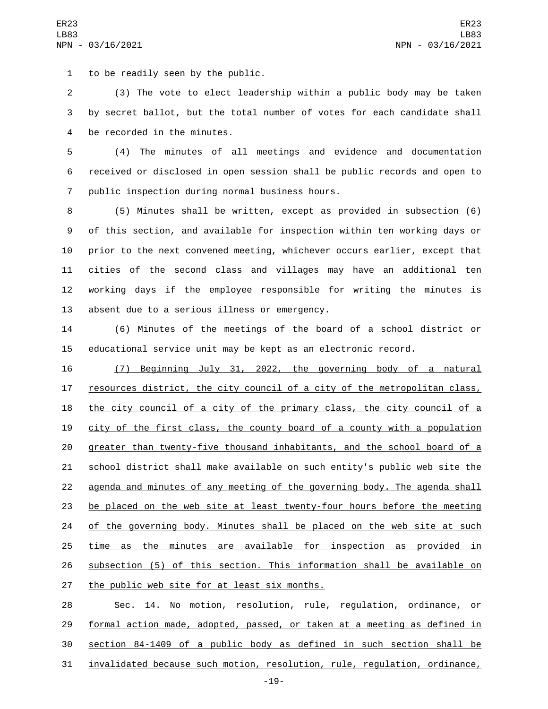1 to be readily seen by the public.

 (3) The vote to elect leadership within a public body may be taken by secret ballot, but the total number of votes for each candidate shall 4 be recorded in the minutes.

 (4) The minutes of all meetings and evidence and documentation received or disclosed in open session shall be public records and open to 7 public inspection during normal business hours.

 (5) Minutes shall be written, except as provided in subsection (6) of this section, and available for inspection within ten working days or prior to the next convened meeting, whichever occurs earlier, except that cities of the second class and villages may have an additional ten working days if the employee responsible for writing the minutes is 13 absent due to a serious illness or emergency.

 (6) Minutes of the meetings of the board of a school district or educational service unit may be kept as an electronic record.

 (7) Beginning July 31, 2022, the governing body of a natural resources district, the city council of a city of the metropolitan class, the city council of a city of the primary class, the city council of a city of the first class, the county board of a county with a population greater than twenty-five thousand inhabitants, and the school board of a school district shall make available on such entity's public web site the agenda and minutes of any meeting of the governing body. The agenda shall be placed on the web site at least twenty-four hours before the meeting 24 of the governing body. Minutes shall be placed on the web site at such time as the minutes are available for inspection as provided in subsection (5) of this section. This information shall be available on 27 the public web site for at least six months.

 Sec. 14. No motion, resolution, rule, regulation, ordinance, or formal action made, adopted, passed, or taken at a meeting as defined in section 84-1409 of a public body as defined in such section shall be invalidated because such motion, resolution, rule, regulation, ordinance,